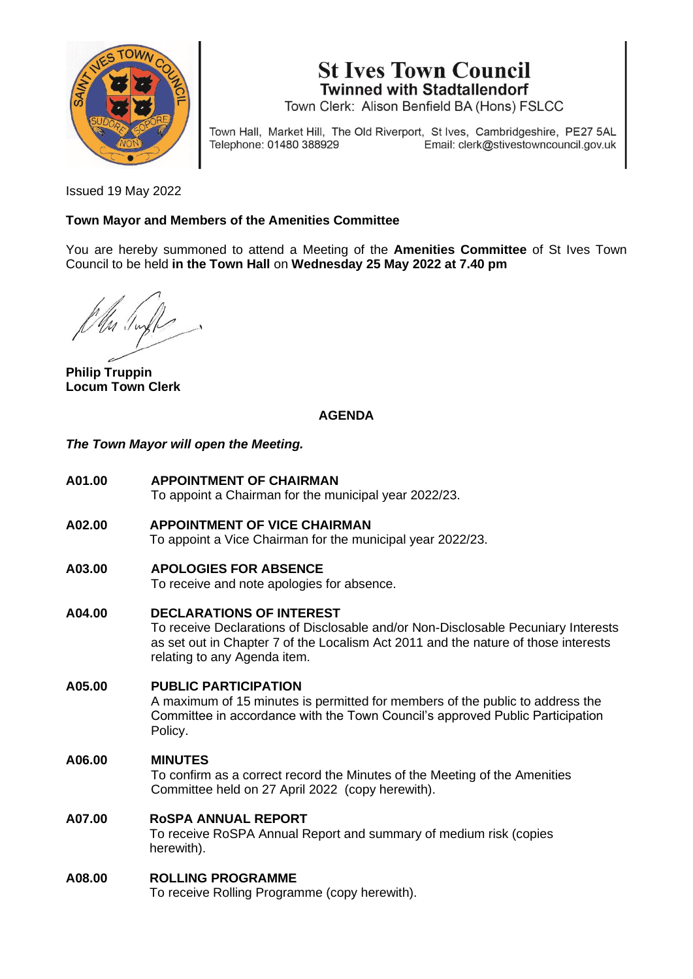

**St Ives Town Council Twinned with Stadtallendorf** 

Town Clerk: Alison Benfield BA (Hons) FSLCC

Town Hall, Market Hill, The Old Riverport, St Ives, Cambridgeshire, PE27 5AL Telephone: 01480 388929 Email: clerk@stivestowncouncil.gov.uk

Issued 19 May 2022

#### **Town Mayor and Members of the Amenities Committee**

You are hereby summoned to attend a Meeting of the **Amenities Committee** of St Ives Town Council to be held **in the Town Hall** on **Wednesday 25 May 2022 at 7.40 pm**

**Philip Truppin Locum Town Clerk**

## **AGENDA**

*The Town Mayor will open the Meeting.*

- **A01.00 APPOINTMENT OF CHAIRMAN** To appoint a Chairman for the municipal year 2022/23.
- **A02.00 APPOINTMENT OF VICE CHAIRMAN** To appoint a Vice Chairman for the municipal year 2022/23.
- **A03.00 APOLOGIES FOR ABSENCE**

To receive and note apologies for absence.

**A04.00 DECLARATIONS OF INTEREST**

To receive Declarations of Disclosable and/or Non-Disclosable Pecuniary Interests as set out in Chapter 7 of the Localism Act 2011 and the nature of those interests relating to any Agenda item.

**A05.00 PUBLIC PARTICIPATION** A maximum of 15 minutes is permitted for members of the public to address the Committee in accordance with the Town Council's approved Public Participation Policy.

#### **A06.00 MINUTES**

To confirm as a correct record the Minutes of the Meeting of the Amenities Committee held on 27 April 2022 (copy herewith).

#### **A07.00 RoSPA ANNUAL REPORT**

To receive RoSPA Annual Report and summary of medium risk (copies herewith).

#### **A08.00 ROLLING PROGRAMME**

To receive Rolling Programme (copy herewith).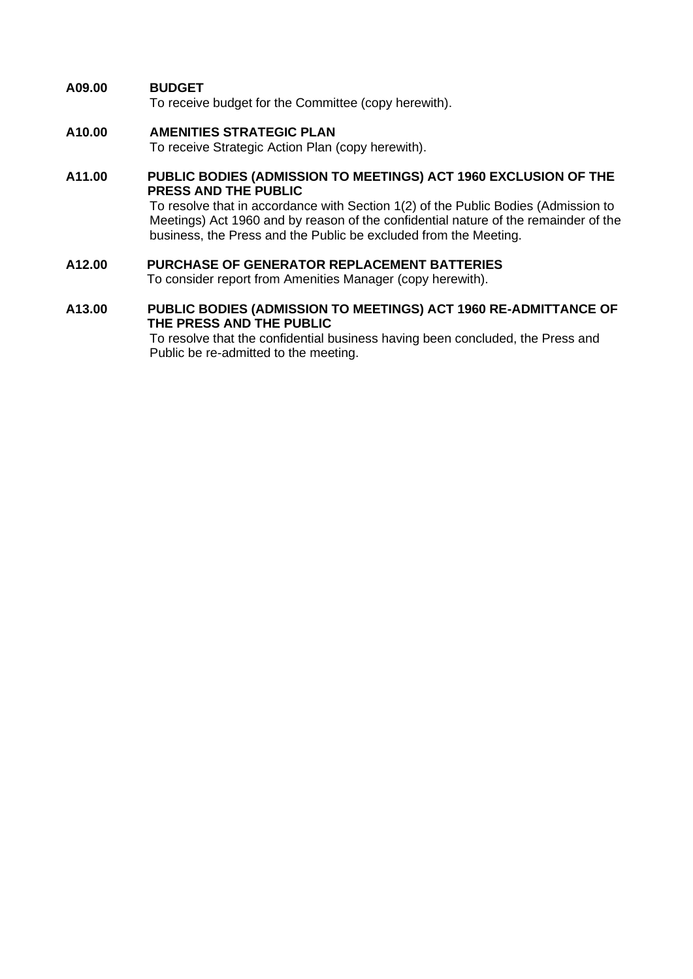#### **A09.00 BUDGET**

To receive budget for the Committee (copy herewith).

#### **A10.00 AMENITIES STRATEGIC PLAN**

To receive Strategic Action Plan (copy herewith).

#### **A11.00 PUBLIC BODIES (ADMISSION TO MEETINGS) ACT 1960 EXCLUSION OF THE PRESS AND THE PUBLIC**

To resolve that in accordance with Section 1(2) of the Public Bodies (Admission to Meetings) Act 1960 and by reason of the confidential nature of the remainder of the business, the Press and the Public be excluded from the Meeting.

# **A12.00 PURCHASE OF GENERATOR REPLACEMENT BATTERIES**

To consider report from Amenities Manager (copy herewith).

#### **A13.00 PUBLIC BODIES (ADMISSION TO MEETINGS) ACT 1960 RE-ADMITTANCE OF THE PRESS AND THE PUBLIC**

To resolve that the confidential business having been concluded, the Press and Public be re-admitted to the meeting.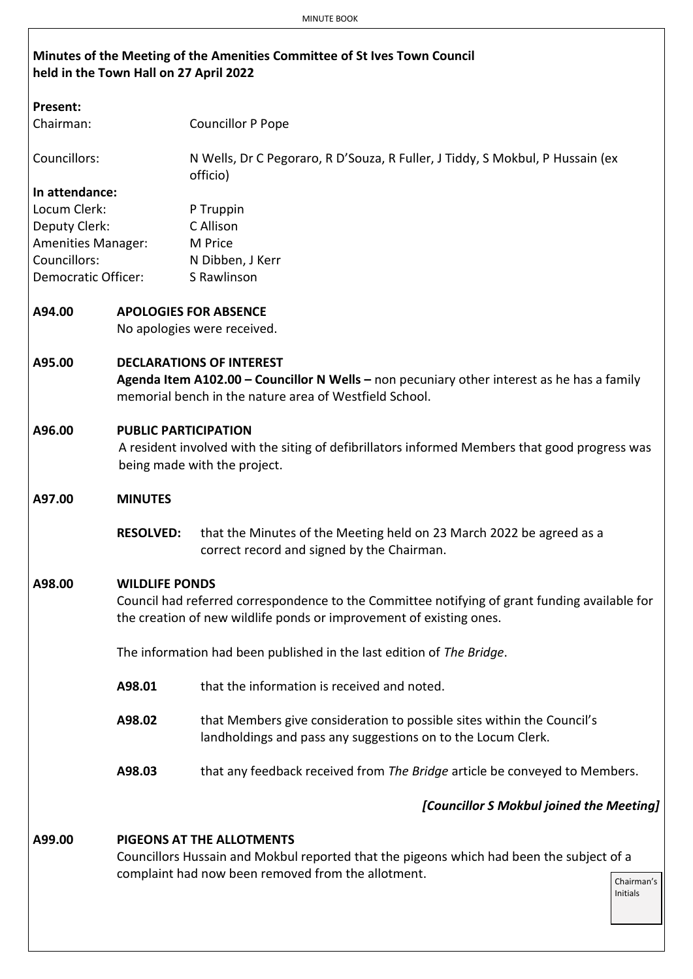## **Minutes of the Meeting of the Amenities Committee of St Ives Town Council held in the Town Hall on 27 April 2022**

| <b>Present:</b>            |                                                                                                                                                                                         |                                                                                                                                                                      |  |  |  |  |  |  |  |  |
|----------------------------|-----------------------------------------------------------------------------------------------------------------------------------------------------------------------------------------|----------------------------------------------------------------------------------------------------------------------------------------------------------------------|--|--|--|--|--|--|--|--|
| Chairman:                  |                                                                                                                                                                                         | <b>Councillor P Pope</b>                                                                                                                                             |  |  |  |  |  |  |  |  |
| Councillors:               |                                                                                                                                                                                         | N Wells, Dr C Pegoraro, R D'Souza, R Fuller, J Tiddy, S Mokbul, P Hussain (ex<br>officio)                                                                            |  |  |  |  |  |  |  |  |
| In attendance:             |                                                                                                                                                                                         |                                                                                                                                                                      |  |  |  |  |  |  |  |  |
| Locum Clerk:               |                                                                                                                                                                                         | P Truppin                                                                                                                                                            |  |  |  |  |  |  |  |  |
| Deputy Clerk:              |                                                                                                                                                                                         | C Allison                                                                                                                                                            |  |  |  |  |  |  |  |  |
| <b>Amenities Manager:</b>  |                                                                                                                                                                                         | M Price                                                                                                                                                              |  |  |  |  |  |  |  |  |
| Councillors:               |                                                                                                                                                                                         | N Dibben, J Kerr                                                                                                                                                     |  |  |  |  |  |  |  |  |
| <b>Democratic Officer:</b> |                                                                                                                                                                                         | S Rawlinson                                                                                                                                                          |  |  |  |  |  |  |  |  |
| A94.00                     |                                                                                                                                                                                         | <b>APOLOGIES FOR ABSENCE</b><br>No apologies were received.                                                                                                          |  |  |  |  |  |  |  |  |
| A95.00                     | <b>DECLARATIONS OF INTEREST</b><br>Agenda Item A102.00 - Councillor N Wells - non pecuniary other interest as he has a family<br>memorial bench in the nature area of Westfield School. |                                                                                                                                                                      |  |  |  |  |  |  |  |  |
| A96.00                     | <b>PUBLIC PARTICIPATION</b>                                                                                                                                                             | A resident involved with the siting of defibrillators informed Members that good progress was<br>being made with the project.                                        |  |  |  |  |  |  |  |  |
| A97.00                     | <b>MINUTES</b>                                                                                                                                                                          |                                                                                                                                                                      |  |  |  |  |  |  |  |  |
|                            | <b>RESOLVED:</b>                                                                                                                                                                        | that the Minutes of the Meeting held on 23 March 2022 be agreed as a<br>correct record and signed by the Chairman.                                                   |  |  |  |  |  |  |  |  |
| A98.00                     | <b>WILDLIFE PONDS</b>                                                                                                                                                                   |                                                                                                                                                                      |  |  |  |  |  |  |  |  |
|                            |                                                                                                                                                                                         | Council had referred correspondence to the Committee notifying of grant funding available for<br>the creation of new wildlife ponds or improvement of existing ones. |  |  |  |  |  |  |  |  |
|                            |                                                                                                                                                                                         | The information had been published in the last edition of The Bridge.                                                                                                |  |  |  |  |  |  |  |  |
|                            | A98.01                                                                                                                                                                                  | that the information is received and noted.                                                                                                                          |  |  |  |  |  |  |  |  |
|                            | A98.02                                                                                                                                                                                  | that Members give consideration to possible sites within the Council's<br>landholdings and pass any suggestions on to the Locum Clerk.                               |  |  |  |  |  |  |  |  |
|                            | A98.03                                                                                                                                                                                  | that any feedback received from The Bridge article be conveyed to Members.                                                                                           |  |  |  |  |  |  |  |  |
|                            |                                                                                                                                                                                         | [Councillor S Mokbul joined the Meeting]                                                                                                                             |  |  |  |  |  |  |  |  |
| A99.00                     |                                                                                                                                                                                         | <b>PIGEONS AT THE ALLOTMENTS</b>                                                                                                                                     |  |  |  |  |  |  |  |  |
|                            |                                                                                                                                                                                         | Councillors Hussain and Mokbul reported that the pigeons which had been the subject of a                                                                             |  |  |  |  |  |  |  |  |
|                            |                                                                                                                                                                                         | complaint had now been removed from the allotment.                                                                                                                   |  |  |  |  |  |  |  |  |
|                            |                                                                                                                                                                                         |                                                                                                                                                                      |  |  |  |  |  |  |  |  |

Chairman's Initials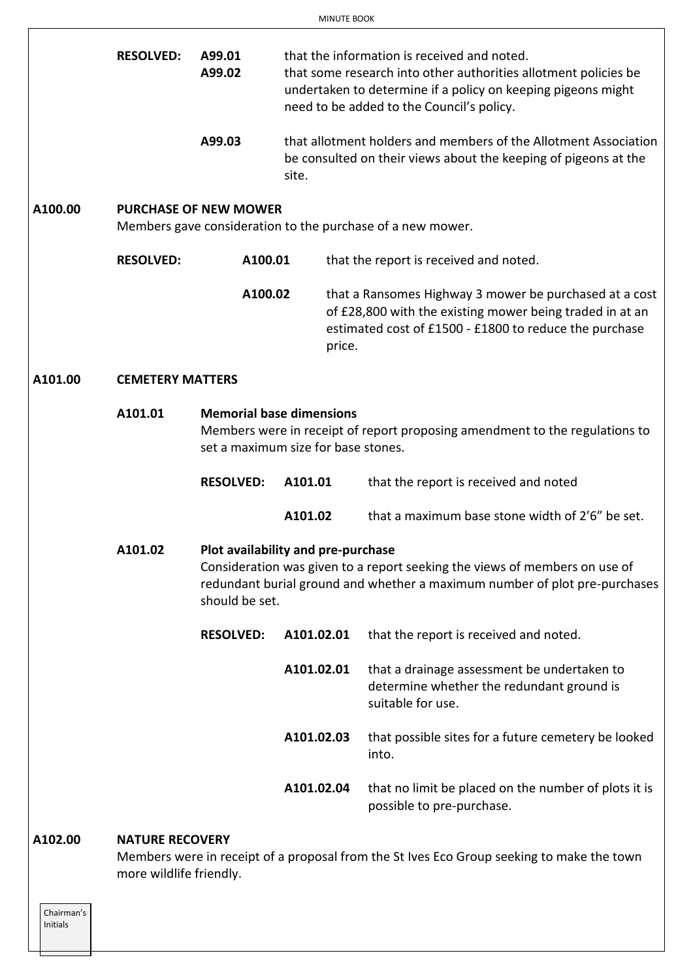|         | <b>RESOLVED:</b>        | A99.01<br>A99.02                                                       |            |        | that the information is received and noted.<br>that some research into other authorities allotment policies be<br>undertaken to determine if a policy on keeping pigeons might<br>need to be added to the Council's policy. |  |  |  |  |  |
|---------|-------------------------|------------------------------------------------------------------------|------------|--------|-----------------------------------------------------------------------------------------------------------------------------------------------------------------------------------------------------------------------------|--|--|--|--|--|
|         |                         | A99.03                                                                 | site.      |        | that allotment holders and members of the Allotment Association<br>be consulted on their views about the keeping of pigeons at the                                                                                          |  |  |  |  |  |
| A100.00 |                         | <b>PURCHASE OF NEW MOWER</b>                                           |            |        | Members gave consideration to the purchase of a new mower.                                                                                                                                                                  |  |  |  |  |  |
|         | <b>RESOLVED:</b>        | A100.01                                                                |            |        | that the report is received and noted.                                                                                                                                                                                      |  |  |  |  |  |
|         |                         | A100.02                                                                |            | price. | that a Ransomes Highway 3 mower be purchased at a cost<br>of £28,800 with the existing mower being traded in at an<br>estimated cost of £1500 - £1800 to reduce the purchase                                                |  |  |  |  |  |
| A101.00 | <b>CEMETERY MATTERS</b> |                                                                        |            |        |                                                                                                                                                                                                                             |  |  |  |  |  |
|         | A101.01                 | <b>Memorial base dimensions</b><br>set a maximum size for base stones. |            |        | Members were in receipt of report proposing amendment to the regulations to                                                                                                                                                 |  |  |  |  |  |
|         |                         | <b>RESOLVED:</b>                                                       | A101.01    |        | that the report is received and noted                                                                                                                                                                                       |  |  |  |  |  |
|         |                         |                                                                        | A101.02    |        | that a maximum base stone width of 2'6" be set.                                                                                                                                                                             |  |  |  |  |  |
|         | A101.02                 | Plot availability and pre-purchase<br>should be set.                   |            |        | Consideration was given to a report seeking the views of members on use of<br>redundant burial ground and whether a maximum number of plot pre-purchases                                                                    |  |  |  |  |  |
|         |                         | <b>RESOLVED:</b>                                                       | A101.02.01 |        | that the report is received and noted.                                                                                                                                                                                      |  |  |  |  |  |
|         |                         |                                                                        | A101.02.01 |        | that a drainage assessment be undertaken to<br>determine whether the redundant ground is<br>suitable for use.                                                                                                               |  |  |  |  |  |
|         |                         |                                                                        | A101.02.03 |        | that possible sites for a future cemetery be looked<br>into.                                                                                                                                                                |  |  |  |  |  |
|         |                         |                                                                        | A101.02.04 |        | that no limit be placed on the number of plots it is<br>possible to pre-purchase.                                                                                                                                           |  |  |  |  |  |

#### **A102.00 NATURE RECOVERY**

Members were in receipt of a proposal from the St Ives Eco Group seeking to make the town more wildlife friendly.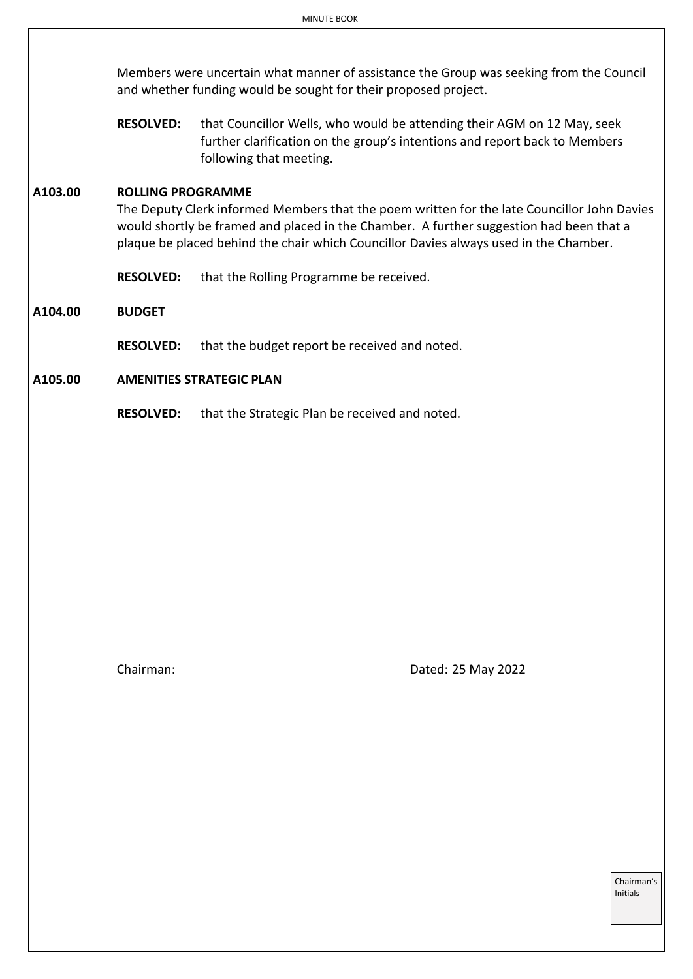Members were uncertain what manner of assistance the Group was seeking from the Council and whether funding would be sought for their proposed project.

**RESOLVED:** that Councillor Wells, who would be attending their AGM on 12 May, seek further clarification on the group's intentions and report back to Members following that meeting.

#### **A103.00 ROLLING PROGRAMME**

The Deputy Clerk informed Members that the poem written for the late Councillor John Davies would shortly be framed and placed in the Chamber. A further suggestion had been that a plaque be placed behind the chair which Councillor Davies always used in the Chamber.

**RESOLVED:** that the Rolling Programme be received.

**A104.00 BUDGET**

**RESOLVED:** that the budget report be received and noted.

#### **A105.00 AMENITIES STRATEGIC PLAN**

**RESOLVED:** that the Strategic Plan be received and noted.

Chairman: Dated: 25 May 2022

Chairman's Initials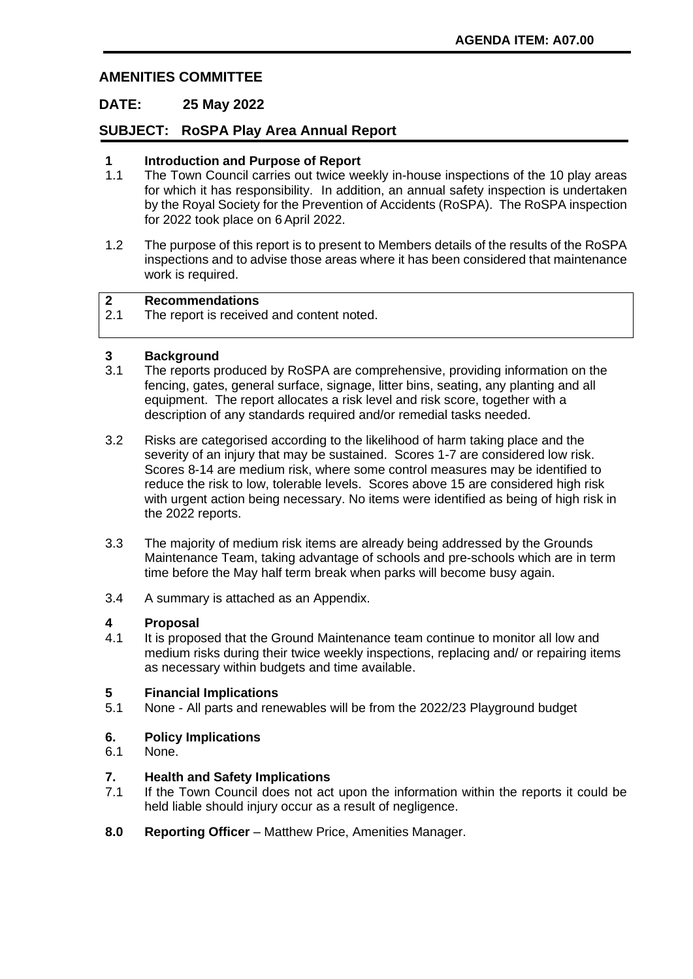## **AMENITIES COMMITTEE**

## **DATE: 25 May 2022**

## **SUBJECT: RoSPA Play Area Annual Report**

#### **1 Introduction and Purpose of Report**

- 1.1 The Town Council carries out twice weekly in-house inspections of the 10 play areas for which it has responsibility. In addition, an annual safety inspection is undertaken by the Royal Society for the Prevention of Accidents (RoSPA). The RoSPA inspection for 2022 took place on 6April 2022.
- 1.2 The purpose of this report is to present to Members details of the results of the RoSPA inspections and to advise those areas where it has been considered that maintenance work is required.

#### **2 Recommendations**

2.1 The report is received and content noted.

# **3 Background**<br>**3.1 The reports p**

- The reports produced by RoSPA are comprehensive, providing information on the fencing, gates, general surface, signage, litter bins, seating, any planting and all equipment. The report allocates a risk level and risk score, together with a description of any standards required and/or remedial tasks needed.
- 3.2 Risks are categorised according to the likelihood of harm taking place and the severity of an injury that may be sustained. Scores 1-7 are considered low risk. Scores 8-14 are medium risk, where some control measures may be identified to reduce the risk to low, tolerable levels. Scores above 15 are considered high risk with urgent action being necessary. No items were identified as being of high risk in the 2022 reports.
- 3.3 The majority of medium risk items are already being addressed by the Grounds Maintenance Team, taking advantage of schools and pre-schools which are in term time before the May half term break when parks will become busy again.
- 3.4 A summary is attached as an Appendix.

#### **4 Proposal**

4.1 It is proposed that the Ground Maintenance team continue to monitor all low and medium risks during their twice weekly inspections, replacing and/ or repairing items as necessary within budgets and time available.

#### **5 Financial Implications**

5.1 None - All parts and renewables will be from the 2022/23 Playground budget

#### **6. Policy Implications**

6.1 None.

#### **7. Health and Safety Implications**

- 7.1 If the Town Council does not act upon the information within the reports it could be held liable should injury occur as a result of negligence.
- **8.0 Reporting Officer** Matthew Price, Amenities Manager.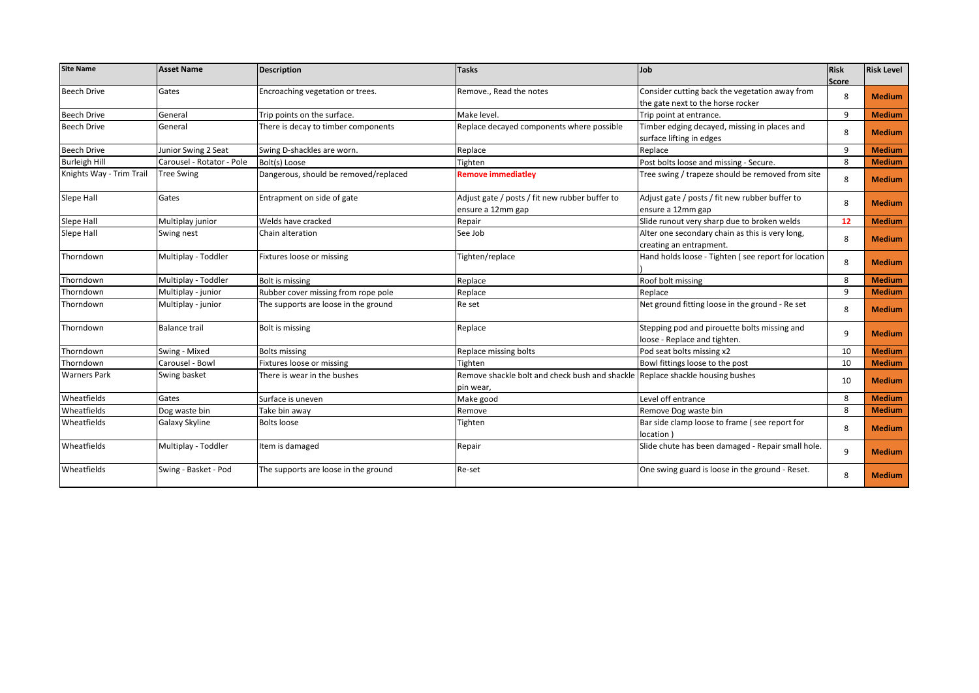| <b>Site Name</b>         | <b>Asset Name</b>         | Description                           | <b>Tasks</b>                                                                  | Job                                                 | <b>Risk</b> | <b>Risk Level</b> |
|--------------------------|---------------------------|---------------------------------------|-------------------------------------------------------------------------------|-----------------------------------------------------|-------------|-------------------|
|                          |                           |                                       |                                                                               |                                                     | Score       |                   |
| <b>Beech Drive</b>       | Gates                     | Encroaching vegetation or trees.      | Remove., Read the notes                                                       | Consider cutting back the vegetation away from      | 8           | <b>Medium</b>     |
|                          |                           |                                       |                                                                               | the gate next to the horse rocker                   |             |                   |
| <b>Beech Drive</b>       | General                   | Trip points on the surface.           | Make level.                                                                   | Trip point at entrance.                             | 9           | <b>Medium</b>     |
| <b>Beech Drive</b>       | General                   | There is decay to timber components   | Replace decayed components where possible                                     | Timber edging decayed, missing in places and        | 8           | <b>Medium</b>     |
|                          |                           |                                       |                                                                               | surface lifting in edges                            |             |                   |
| <b>Beech Drive</b>       | Junior Swing 2 Seat       | Swing D-shackles are worn.            | Replace                                                                       | Replace                                             | 9           | <b>Medium</b>     |
| <b>Burleigh Hill</b>     | Carousel - Rotator - Pole | Bolt(s) Loose                         | Tighten                                                                       | Post bolts loose and missing - Secure.              | 8           | <b>Medium</b>     |
| Knights Way - Trim Trail | <b>Tree Swing</b>         | Dangerous, should be removed/replaced | <b>Remove immediatley</b>                                                     | Tree swing / trapeze should be removed from site    | 8           | <b>Medium</b>     |
| Slepe Hall               | Gates                     | Entrapment on side of gate            | Adjust gate / posts / fit new rubber buffer to                                | Adjust gate / posts / fit new rubber buffer to      |             |                   |
|                          |                           |                                       | ensure a 12mm gap                                                             | ensure a 12mm gap                                   | 8           | <b>Medium</b>     |
| Slepe Hall               | Multiplay junior          | Welds have cracked                    | Repair                                                                        | Slide runout very sharp due to broken welds         | 12          | <b>Medium</b>     |
| Slepe Hall               | Swing nest                | Chain alteration                      | See Job                                                                       | Alter one secondary chain as this is very long,     |             |                   |
|                          |                           |                                       |                                                                               | creating an entrapment.                             | 8           | <b>Medium</b>     |
| Thorndown                | Multiplay - Toddler       | Fixtures loose or missing             | Tighten/replace                                                               | Hand holds loose - Tighten (see report for location | 8           | <b>Medium</b>     |
| Thorndown                | Multiplay - Toddler       | <b>Bolt is missing</b>                | Replace                                                                       | Roof bolt missing                                   | 8           | <b>Medium</b>     |
| Thorndown                | Multiplay - junior        | Rubber cover missing from rope pole   | Replace                                                                       | Replace                                             | 9           | <b>Medium</b>     |
| Thorndown                | Multiplay - junior        | The supports are loose in the ground  | Re set                                                                        | Net ground fitting loose in the ground - Re set     | 8           | <b>Medium</b>     |
| Thorndown                | <b>Balance trail</b>      | <b>Bolt is missing</b>                | Replace                                                                       | Stepping pod and pirouette bolts missing and        |             |                   |
|                          |                           |                                       |                                                                               | loose - Replace and tighten.                        | 9           | <b>Medium</b>     |
| Thorndown                | Swing - Mixed             | <b>Bolts missing</b>                  | Replace missing bolts                                                         | Pod seat bolts missing x2                           | 10          | <b>Medium</b>     |
| Thorndown                | Carousel - Bowl           | Fixtures loose or missing             | Tighten                                                                       | Bowl fittings loose to the post                     | 10          | <b>Medium</b>     |
| <b>Warners Park</b>      | Swing basket              | There is wear in the bushes           | Remove shackle bolt and check bush and shackle Replace shackle housing bushes |                                                     |             |                   |
|                          |                           |                                       | pin wear,                                                                     |                                                     | 10          | <b>Medium</b>     |
| Wheatfields              | Gates                     | Surface is uneven                     | Make good                                                                     | Level off entrance                                  | 8           | <b>Medium</b>     |
| Wheatfields              | Dog waste bin             | Take bin away                         | Remove                                                                        | Remove Dog waste bin                                | 8           | <b>Medium</b>     |
| Wheatfields              | Galaxy Skyline            | <b>Bolts loose</b>                    | Tighten                                                                       | Bar side clamp loose to frame (see report for       |             |                   |
|                          |                           |                                       |                                                                               | location 1                                          | 8           | <b>Medium</b>     |
| Wheatfields              | Multiplay - Toddler       | Item is damaged                       | Repair                                                                        | Slide chute has been damaged - Repair small hole.   | 9           | <b>Medium</b>     |
| Wheatfields              | Swing - Basket - Pod      | The supports are loose in the ground  | Re-set                                                                        | One swing guard is loose in the ground - Reset.     | 8           | <b>Medium</b>     |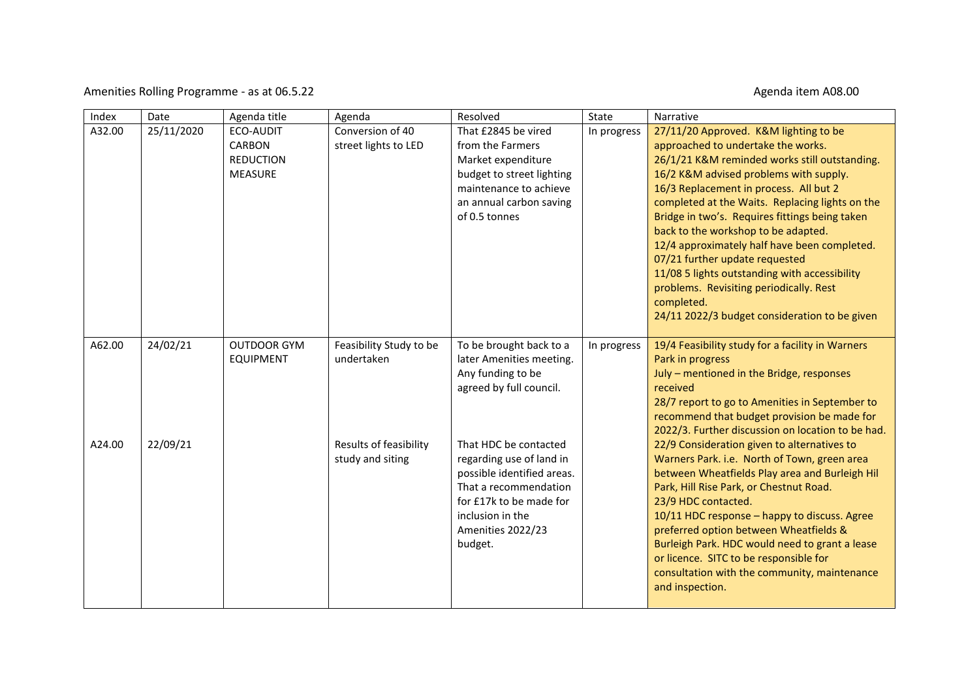### Amenities Rolling Programme - as at 06.5.22 Agenda item A08.00

| Index  | Date       | Agenda title                                                     | Agenda                                     | Resolved                                                                                                                                                                                | State       | Narrative                                                                                                                                                                                                                                                                                                                                                                                                                                                                                                                                                                                                 |
|--------|------------|------------------------------------------------------------------|--------------------------------------------|-----------------------------------------------------------------------------------------------------------------------------------------------------------------------------------------|-------------|-----------------------------------------------------------------------------------------------------------------------------------------------------------------------------------------------------------------------------------------------------------------------------------------------------------------------------------------------------------------------------------------------------------------------------------------------------------------------------------------------------------------------------------------------------------------------------------------------------------|
| A32.00 | 25/11/2020 | ECO-AUDIT<br><b>CARBON</b><br><b>REDUCTION</b><br><b>MEASURE</b> | Conversion of 40<br>street lights to LED   | That £2845 be vired<br>from the Farmers<br>Market expenditure<br>budget to street lighting<br>maintenance to achieve<br>an annual carbon saving<br>of 0.5 tonnes                        | In progress | 27/11/20 Approved. K&M lighting to be<br>approached to undertake the works.<br>26/1/21 K&M reminded works still outstanding.<br>16/2 K&M advised problems with supply.<br>16/3 Replacement in process. All but 2<br>completed at the Waits. Replacing lights on the<br>Bridge in two's. Requires fittings being taken<br>back to the workshop to be adapted.<br>12/4 approximately half have been completed.<br>07/21 further update requested<br>11/08 5 lights outstanding with accessibility<br>problems. Revisiting periodically. Rest<br>completed.<br>24/11 2022/3 budget consideration to be given |
| A62.00 | 24/02/21   | <b>OUTDOOR GYM</b><br><b>EQUIPMENT</b>                           | Feasibility Study to be<br>undertaken      | To be brought back to a<br>later Amenities meeting.<br>Any funding to be<br>agreed by full council.                                                                                     | In progress | 19/4 Feasibility study for a facility in Warners<br>Park in progress<br>July - mentioned in the Bridge, responses<br>received<br>28/7 report to go to Amenities in September to<br>recommend that budget provision be made for<br>2022/3. Further discussion on location to be had.                                                                                                                                                                                                                                                                                                                       |
| A24.00 | 22/09/21   |                                                                  | Results of feasibility<br>study and siting | That HDC be contacted<br>regarding use of land in<br>possible identified areas.<br>That a recommendation<br>for £17k to be made for<br>inclusion in the<br>Amenities 2022/23<br>budget. |             | 22/9 Consideration given to alternatives to<br>Warners Park. i.e. North of Town, green area<br>between Wheatfields Play area and Burleigh Hil<br>Park, Hill Rise Park, or Chestnut Road.<br>23/9 HDC contacted.<br>10/11 HDC response - happy to discuss. Agree<br>preferred option between Wheatfields &<br>Burleigh Park. HDC would need to grant a lease<br>or licence. SITC to be responsible for<br>consultation with the community, maintenance<br>and inspection.                                                                                                                                  |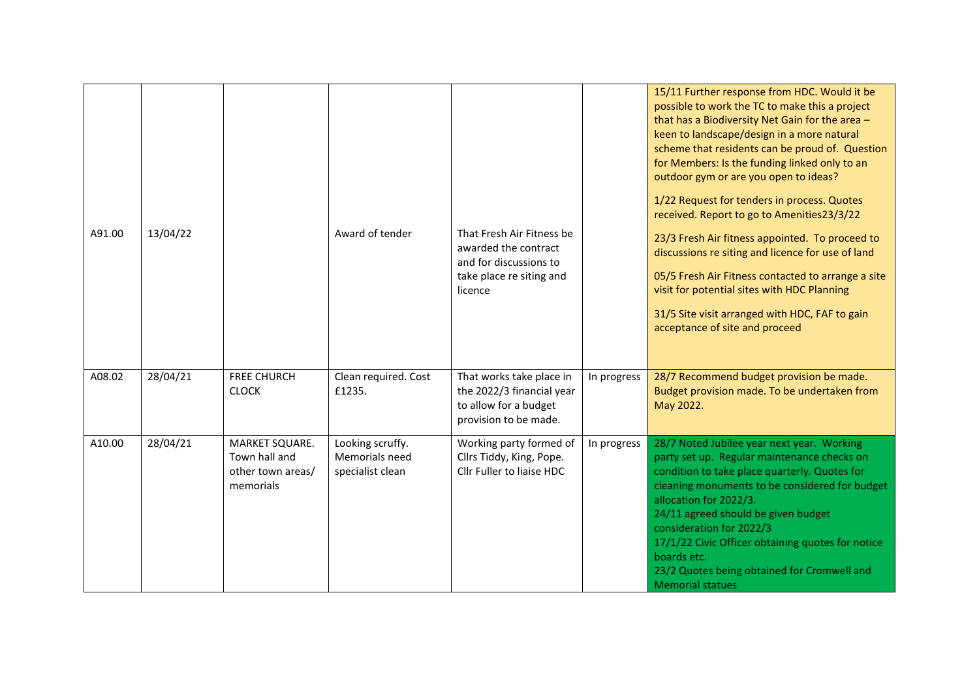| A91.00 | 13/04/22 |                                                                   | Award of tender                                        | That Fresh Air Fitness be<br>awarded the contract<br>and for discussions to<br>take place re siting and<br>licence |             | 15/11 Further response from HDC. Would it be<br>possible to work the TC to make this a project<br>that has a Biodiversity Net Gain for the area -<br>keen to landscape/design in a more natural<br>scheme that residents can be proud of. Question<br>for Members: Is the funding linked only to an<br>outdoor gym or are you open to ideas?<br>1/22 Request for tenders in process. Quotes<br>received. Report to go to Amenities23/3/22<br>23/3 Fresh Air fitness appointed. To proceed to<br>discussions re siting and licence for use of land<br>05/5 Fresh Air Fitness contacted to arrange a site<br>visit for potential sites with HDC Planning<br>31/5 Site visit arranged with HDC, FAF to gain<br>acceptance of site and proceed |
|--------|----------|-------------------------------------------------------------------|--------------------------------------------------------|--------------------------------------------------------------------------------------------------------------------|-------------|--------------------------------------------------------------------------------------------------------------------------------------------------------------------------------------------------------------------------------------------------------------------------------------------------------------------------------------------------------------------------------------------------------------------------------------------------------------------------------------------------------------------------------------------------------------------------------------------------------------------------------------------------------------------------------------------------------------------------------------------|
| A08.02 | 28/04/21 | <b>FREE CHURCH</b><br><b>CLOCK</b>                                | Clean required. Cost<br>£1235.                         | That works take place in<br>the 2022/3 financial year<br>to allow for a budget<br>provision to be made.            | In progress | 28/7 Recommend budget provision be made.<br>Budget provision made. To be undertaken from<br>May 2022.                                                                                                                                                                                                                                                                                                                                                                                                                                                                                                                                                                                                                                      |
| A10.00 | 28/04/21 | MARKET SQUARE.<br>Town hall and<br>other town areas/<br>memorials | Looking scruffy.<br>Memorials need<br>specialist clean | Working party formed of<br>Cllrs Tiddy, King, Pope.<br>Cllr Fuller to liaise HDC                                   | In progress | 28/7 Noted Jubilee year next year. Working<br>party set up. Regular maintenance checks on<br>condition to take place quarterly. Quotes for<br>cleaning monuments to be considered for budget<br>allocation for 2022/3.<br>24/11 agreed should be given budget<br>consideration for 2022/3<br>17/1/22 Civic Officer obtaining quotes for notice<br>boards etc.<br>23/2 Quotes being obtained for Cromwell and<br><b>Memorial statues</b>                                                                                                                                                                                                                                                                                                    |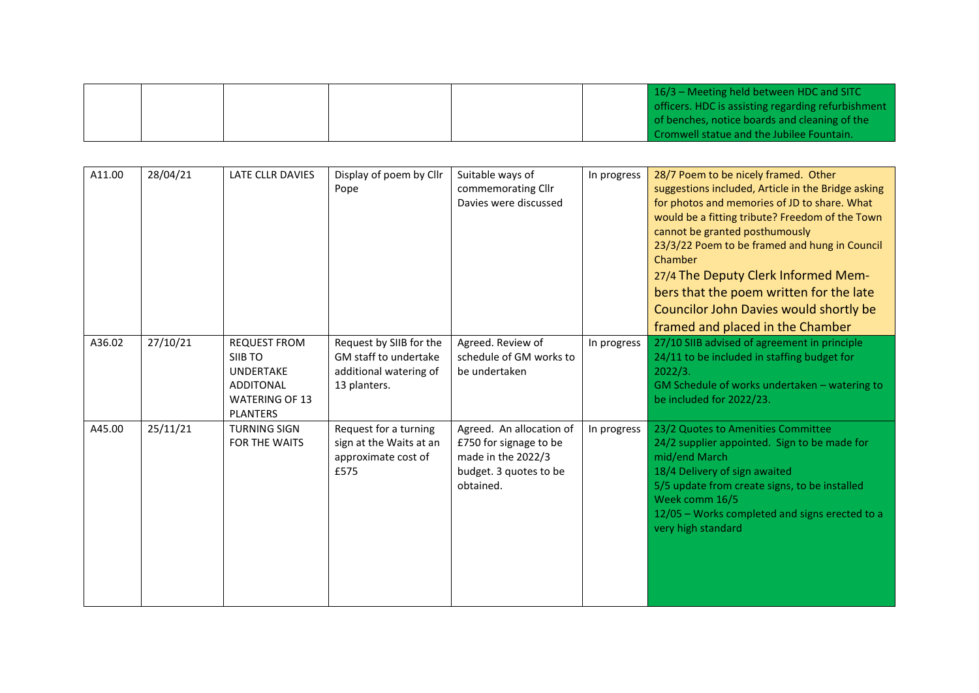|  |  |  | $16/3$ – Meeting held between HDC and SITC         |
|--|--|--|----------------------------------------------------|
|  |  |  | officers. HDC is assisting regarding refurbishment |
|  |  |  | of benches, notice boards and cleaning of the      |
|  |  |  | Cromwell statue and the Jubilee Fountain.          |

| A11.00 | 28/04/21 | <b>LATE CLLR DAVIES</b>                                                                                            | Display of poem by Cllr<br>Pope                                                            | Suitable ways of<br>commemorating Cllr<br>Davies were discussed                                                 | In progress | 28/7 Poem to be nicely framed. Other<br>suggestions included, Article in the Bridge asking<br>for photos and memories of JD to share. What<br>would be a fitting tribute? Freedom of the Town<br>cannot be granted posthumously<br>23/3/22 Poem to be framed and hung in Council<br>Chamber<br>27/4 The Deputy Clerk Informed Mem-<br>bers that the poem written for the late<br>Councilor John Davies would shortly be<br>framed and placed in the Chamber |
|--------|----------|--------------------------------------------------------------------------------------------------------------------|--------------------------------------------------------------------------------------------|-----------------------------------------------------------------------------------------------------------------|-------------|-------------------------------------------------------------------------------------------------------------------------------------------------------------------------------------------------------------------------------------------------------------------------------------------------------------------------------------------------------------------------------------------------------------------------------------------------------------|
| A36.02 | 27/10/21 | <b>REQUEST FROM</b><br>SIIB TO<br><b>UNDERTAKE</b><br><b>ADDITONAL</b><br><b>WATERING OF 13</b><br><b>PLANTERS</b> | Request by SIIB for the<br>GM staff to undertake<br>additional watering of<br>13 planters. | Agreed. Review of<br>schedule of GM works to<br>be undertaken                                                   | In progress | 27/10 SIIB advised of agreement in principle<br>24/11 to be included in staffing budget for<br>2022/3.<br>GM Schedule of works undertaken - watering to<br>be included for 2022/23.                                                                                                                                                                                                                                                                         |
| A45.00 | 25/11/21 | <b>TURNING SIGN</b><br><b>FOR THE WAITS</b>                                                                        | Request for a turning<br>sign at the Waits at an<br>approximate cost of<br>£575            | Agreed. An allocation of<br>£750 for signage to be<br>made in the 2022/3<br>budget. 3 quotes to be<br>obtained. | In progress | 23/2 Quotes to Amenities Committee<br>24/2 supplier appointed. Sign to be made for<br>mid/end March<br>18/4 Delivery of sign awaited<br>5/5 update from create signs, to be installed<br>Week comm 16/5<br>12/05 - Works completed and signs erected to a<br>very high standard                                                                                                                                                                             |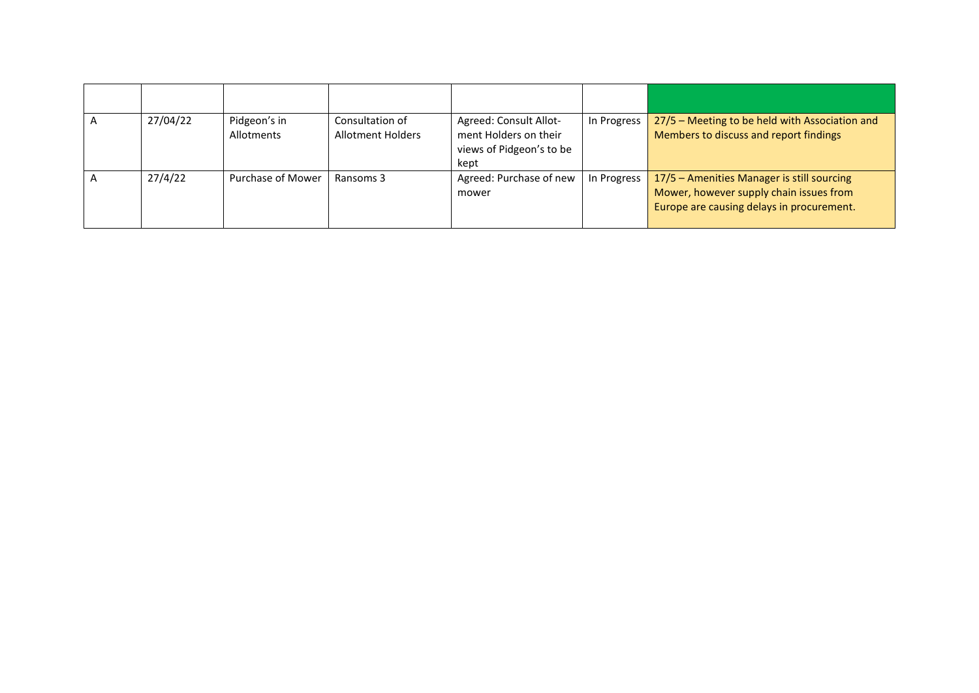|  | 27/04/22 | Pidgeon's in<br>Allotments | Consultation of<br>Allotment Holders | Agreed: Consult Allot-<br>ment Holders on their<br>views of Pidgeon's to be<br>kept | In Progress | 27/5 - Meeting to be held with Association and<br>Members to discuss and report findings                                           |
|--|----------|----------------------------|--------------------------------------|-------------------------------------------------------------------------------------|-------------|------------------------------------------------------------------------------------------------------------------------------------|
|  | 27/4/22  | Purchase of Mower          | Ransoms 3                            | Agreed: Purchase of new<br>mower                                                    | In Progress | 17/5 - Amenities Manager is still sourcing<br>Mower, however supply chain issues from<br>Europe are causing delays in procurement. |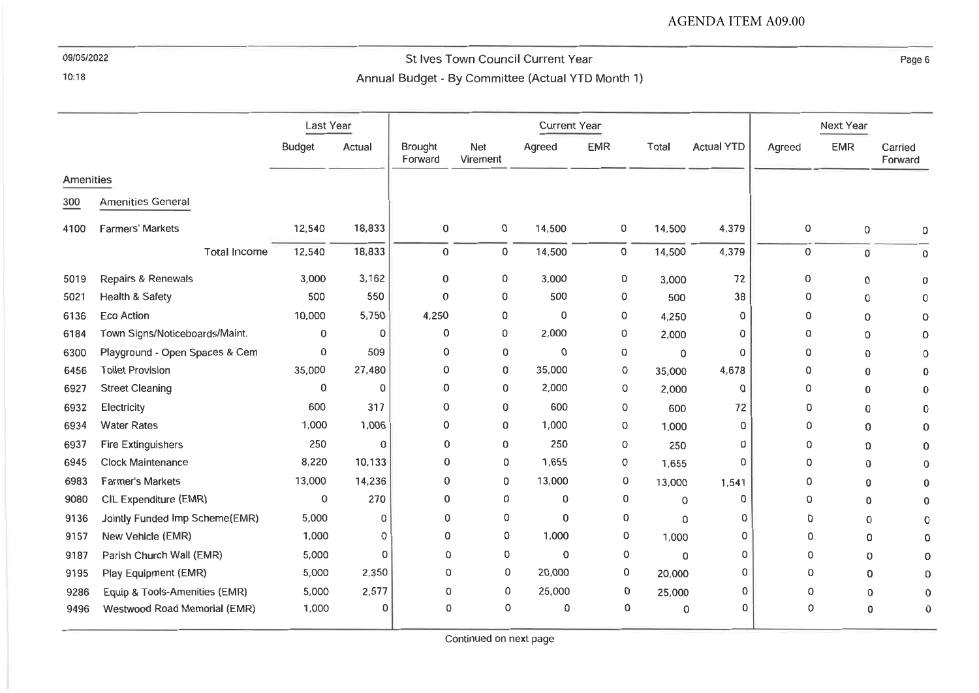$10:18$ 

# St Ives Town Council Current Year Annual Budget - By Committee (Actual YTD Month 1)

Page 6

|           |                                | Last Year     |          | <b>Current Year</b> |                 |             |            |          |                   | Next Year |             |                    |
|-----------|--------------------------------|---------------|----------|---------------------|-----------------|-------------|------------|----------|-------------------|-----------|-------------|--------------------|
|           |                                | <b>Budget</b> | Actual   | Brought<br>Forward  | Net<br>Virement | Agreed      | <b>EMR</b> | Total    | <b>Actual YTD</b> | Agreed    | <b>EMR</b>  | Carried<br>Forward |
| Amenities |                                |               |          |                     |                 |             |            |          |                   |           |             |                    |
| 300       | <b>Amenities General</b>       |               |          |                     |                 |             |            |          |                   |           |             |                    |
| 4100      | <b>Farmers' Markets</b>        | 12,540        | 18,833   | 0                   | 0               | 14,500      | 0          | 14,500   | 4,379             | 0         | $\mathbf 0$ | 0                  |
|           | <b>Total Income</b>            | 12,540        | 18,833   | 0                   | 0               | 14,500      | 0          | 14,500   | 4,379             | 0         | 0           | $\Omega$           |
| 5019      | Repairs & Renewals             | 3,000         | 3,162    | 0                   | 0               | 3,000       | 0          | 3,000    | 72                | 0         | 0           | n                  |
| 5021      | Health & Safety                | 500           | 550      | 0                   | 0               | 500         | 0          | 500      | 38                | 0         | 0           |                    |
| 6136      | Eco Action                     | 10,000        | 5,750    | 4,250               | 0               | 0           | 0          | 4,250    | 0                 | 0         | 0           |                    |
| 6184      | Town Signs/Noticeboards/Maint. | 0             | 0        | 0                   | 0               | 2,000       | 0          | 2,000    | 0                 | 0         | 0           |                    |
| 6300      | Playground - Open Spaces & Cem | 0             | 509      | 0                   | 0               | $\Omega$    | 0          | 0        | 0                 | 0         | 0           |                    |
| 6456      | <b>Toilet Provision</b>        | 35,000        | 27,480   | $\Omega$            | 0               | 35,000      | 0          | 35,000   | 4,678             | 0         | 0           |                    |
| 6927      | <b>Street Cleaning</b>         | 0             | 0        | 0                   | 0               | 2,000       | 0          | 2,000    | 0                 | 0         | 0           |                    |
| 6932      | Electricity                    | 600           | 317      | 0                   | 0               | 600         | 0          | 600      | 72                | 0         | 0           |                    |
| 6934      | <b>Water Rates</b>             | 1,000         | 1,006    | 0                   | 0               | 1,000       | 0          | 1,000    | 0                 | 0         | 0           |                    |
| 6937      | <b>Fire Extinguishers</b>      | 250           | $\Omega$ | 0                   | 0               | 250         | 0          | 250      | 0                 | 0         | 0           |                    |
| 6945      | <b>Clock Maintenance</b>       | 8,220         | 10,133   | 0                   | 0               | 1,655       | 0          | 1,655    | $\Omega$          | 0         | $\Omega$    |                    |
| 6983      | <b>Farmer's Markets</b>        | 13,000        | 14,236   | 0                   | 0               | 13,000      | 0          | 13,000   | 1,541             | 0         | 0           |                    |
| 9080      | CIL Expenditure (EMR)          | 0             | 270      | 0                   | 0               | 0           | 0          | $\Omega$ | 0                 | 0         | 0           |                    |
| 9136      | Jointly Funded Imp Scheme(EMR) | 5,000         | 0        | 0                   | 0               | 0           | 0          | $\Omega$ | 0                 | 0         | 0           |                    |
| 9157      | New Vehicle (EMR)              | 1,000         | $\Omega$ | $\mathbf{0}$        | 0               | 1,000       | 0          | 1,000    | 0                 | 0         | 0           |                    |
| 9187      | Parish Church Wall (EMR)       | 5,000         | 0        | 0                   | 0               | $\mathbf 0$ | 0          | $\Omega$ | 0                 | 0         | $\Omega$    |                    |
| 9195      | Play Equipment (EMR)           | 5,000         | 2,350    | 0                   | 0               | 20,000      | 0          | 20,000   | 0                 | 0         | 0           |                    |
| 9286      | Equip & Tools-Amenities (EMR)  | 5,000         | 2,577    | 0                   | 0               | 25,000      | 0          | 25,000   | $\Omega$          | 0         | $\Omega$    |                    |
| 9496      | Westwood Road Memorial (EMR)   | 1,000         | 0        | 0                   | 0               | 0           | 0          | 0        | 0                 | 0         | 0           |                    |

Continued on next page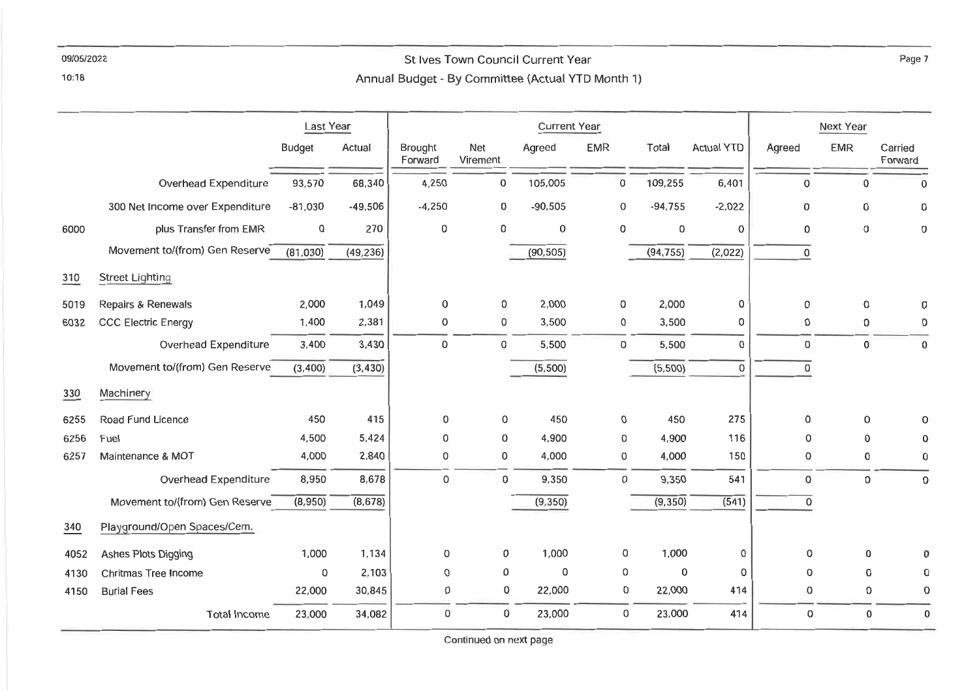## St Ives Town Council Current Year Annual Budget - By Committee (Actual YTD Month 1)

 $10:18$ 

|      |                                 | Last Year     |           |                    | <b>Current Year</b> |           |             |             |                   |             | Next Year           |                    |
|------|---------------------------------|---------------|-----------|--------------------|---------------------|-----------|-------------|-------------|-------------------|-------------|---------------------|--------------------|
|      |                                 | <b>Budget</b> | Actual    | Brought<br>Forward | Net<br>Virement     | Agreed    | <b>EMR</b>  | Total       | <b>Actual YTD</b> | Agreed      | <b>EMR</b>          | Carried<br>Forward |
|      | Overhead Expenditure            | 93,570        | 68,340    | 4,250              | 0                   | 105,005   | 0           | 109,255     | 6,401             | $\mathbf 0$ | $\Omega$            | $\mathbf 0$        |
|      | 300 Net Income over Expenditure | $-81,030$     | $-49,506$ | $-4,250$           | 0                   | $-90,505$ | $\mathbf 0$ | $-94,755$   | $-2,022$          | 0           | 0                   | 0                  |
| 6000 | plus Transfer from EMR          | $\mathbf 0$   | 270       | 0                  | 0                   | $\circ$   | 0           | $\mathbf 0$ | 0                 | 0           | 0                   | 0                  |
|      | Movement to/(from) Gen Reserve  | (81,030)      | (49, 236) |                    |                     | (90, 505) |             | (94, 755)   | (2,022)           | 0           |                     |                    |
| 310  | <b>Street Lighting</b>          |               |           |                    |                     |           |             |             |                   |             |                     |                    |
| 5019 | Repairs & Renewals              | 2,000         | 1,049     | 0                  | $\mathbf 0$         | 2,000     | 0           | 2,000       | 0                 | 0           | 0                   | 0                  |
| 6032 | <b>CCC Electric Energy</b>      | 1,400         | 2,381     | 0                  | 0                   | 3,500     | 0           | 3,500       | 0                 | 0           | 0                   | 0                  |
|      | Overhead Expenditure            | 3,400         | 3,430     | 0                  | 0                   | 5,500     | 0           | 5,500       | 0                 | 0           | 0                   | 0                  |
|      | Movement to/(from) Gen Reserve  | (3,400)       | (3, 430)  |                    |                     | (5,500)   |             | (5,500)     | $\Omega$          | 0           |                     |                    |
| 330  | Machinery                       |               |           |                    |                     |           |             |             |                   |             |                     |                    |
| 6255 | Road Fund Licence               | 450           | 415       | 0                  | 0                   | 450       | 0           | 450         | 275               | 0           | 0                   | $\Omega$           |
| 6256 | Fuel                            | 4,500         | 5,424     | 0                  | 0                   | 4,900     | 0           | 4,900       | 116               | 0           | 0                   | $\Omega$           |
| 6257 | Maintenance & MOT               | 4,000         | 2,840     | 0                  | 0                   | 4,000     | 0           | 4,000       | 150               | 0           | $\mathbf 0$         | 0                  |
|      | Overhead Expenditure            | 8,950         | 8,678     | $\mathsf{o}$       | $\mathbf 0$         | 9,350     | 0           | 9,350       | 541               | 0           | 0                   | 0                  |
|      | Movement to/(from) Gen Reserve  | (8,950)       | (8,678)   |                    |                     | (9, 350)  |             | (9, 350)    | (541)             | $\mathsf 0$ |                     |                    |
| 340  | Playground/Open Spaces/Cem.     |               |           |                    |                     |           |             |             |                   |             |                     |                    |
| 4052 | Ashes Plots Digging             | 1,000         | 1,134     | 0                  | 0                   | 1,000     | 0           | 1,000       | 0                 | 0           | 0                   | n                  |
| 4130 | Chritmas Tree Income            | 0             | 2,103     | 0                  | $\pmb{0}$           | 0         | 0           | 0           | 0                 | $\mathbf 0$ | $\mathsf{O}\xspace$ | 0                  |
| 4150 | <b>Burial Fees</b>              | 22,000        | 30,845    | 0                  | 0                   | 22,000    | 0           | 22,000      | 414               | 0           | 0                   | 0                  |
|      | <b>Total Income</b>             | 23,000        | 34,082    | 0                  | 0                   | 23,000    | 0           | 23,000      | 414               | 0           | 0                   | 0                  |

Continued on next page

Page 7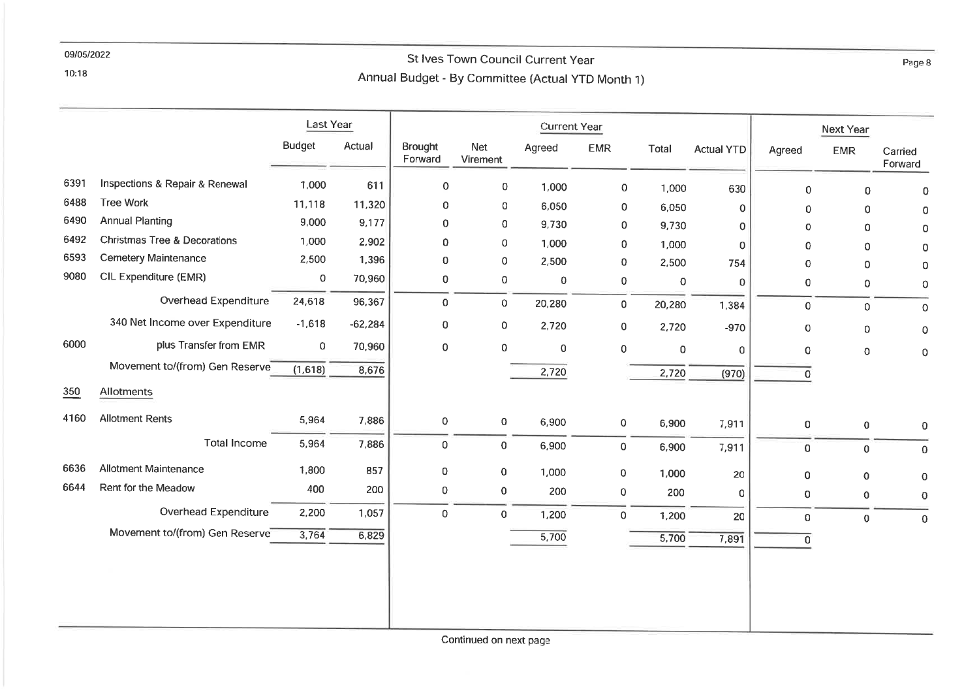#### 10:18

# St Ives Town Council Current Year Annual Budget - By Committee (Actual YTD Month 1)

|      |                                         | Last Year     |           |                     |                     | <b>Current Year</b> |             |        |                   |                | Next Year   |                    |
|------|-----------------------------------------|---------------|-----------|---------------------|---------------------|---------------------|-------------|--------|-------------------|----------------|-------------|--------------------|
|      |                                         | <b>Budget</b> | Actual    | Brought<br>Forward  | Net<br>Virement     | Agreed              | <b>EMR</b>  | Total  | <b>Actual YTD</b> | Agreed         | <b>EMR</b>  | Carried<br>Forward |
| 6391 | Inspections & Repair & Renewal          | 1,000         | 611       | $\mathsf{O}\xspace$ | $\,0\,$             | 1,000               | $\mathsf O$ | 1,000  | 630               | 0              | 0           | $\mathbf 0$        |
| 6488 | <b>Tree Work</b>                        | 11,118        | 11,320    | 0                   | 0                   | 6,050               | $\mathbf 0$ | 6,050  | 0                 | 0              | $\mathbf 0$ | $\Omega$           |
| 6490 | <b>Annual Planting</b>                  | 9,000         | 9,177     | 0                   | $\mathbf 0$         | 9,730               | 0           | 9,730  | $\circ$           | $\mathbf 0$    | $\mathbf 0$ | 0                  |
| 6492 | <b>Christmas Tree &amp; Decorations</b> | 1,000         | 2,902     | 0                   | $\mathbf 0$         | 1,000               | 0           | 1,000  | $\Omega$          | $\mathbf 0$    | $\mathbf 0$ | $\Omega$           |
| 6593 | <b>Cemetery Maintenance</b>             | 2,500         | 1,396     | 0                   | $\mathbf 0$         | 2,500               | 0           | 2,500  | 754               | 0              | $\mathbf 0$ | 0                  |
| 9080 | CIL Expenditure (EMR)                   | 0             | 70,960    | 0                   | $\mbox{O}$          | $\mathbf 0$         | 0           | 0      | 0                 | 0              | $\mathbf 0$ | $\circ$            |
|      | Overhead Expenditure                    | 24,618        | 96,367    | 0                   | 0                   | 20,280              | $\mathbf 0$ | 20,280 | 1,384             | $\mathsf O$    | $\mathbf 0$ | $\mathbf 0$        |
|      | 340 Net Income over Expenditure         | $-1,618$      | $-62,284$ | $\pmb{0}$           | $\mathsf{O}\xspace$ | 2,720               | $\mathbf 0$ | 2,720  | $-970$            | $\circ$        | $\mathbf 0$ | $\mathsf O$        |
| 6000 | plus Transfer from EMR                  | 0             | 70,960    | $\mathsf{O}\xspace$ | 0                   | $\pmb{0}$           | $\mathbf 0$ | 0      | $\mathbf 0$       | $\mathbf 0$    | $\mathbf 0$ | 0                  |
|      | Movement to/(from) Gen Reserve          | (1,618)       | 8,676     |                     |                     | 2,720               |             | 2,720  | (970)             | $\overline{O}$ |             |                    |
| 350  | Allotments                              |               |           |                     |                     |                     |             |        |                   |                |             |                    |
| 4160 | <b>Allotment Rents</b>                  | 5,964         | 7,886     | 0                   | 0                   | 6,900               | 0           | 6,900  | 7,911             | 0              | $\mathbf 0$ | $\mathbf 0$        |
|      | <b>Total Income</b>                     | 5,964         | 7,886     | $\pmb{0}$           | $\overline{0}$      | 6,900               | $\mathbf 0$ | 6,900  | 7,911             | $\overline{0}$ | 0           | 0                  |
| 6636 | <b>Allotment Maintenance</b>            | 1,800         | 857       | 0                   | 0                   | 1,000               | 0           | 1,000  | 20                | $\pmb{0}$      | $\mathbf 0$ | $\Omega$           |
| 6644 | Rent for the Meadow                     | 400           | 200       | 0                   | $\mathbf 0$         | 200                 | 0           | 200    | 0                 | 0              | 0           | $\mathbf 0$        |
|      | Overhead Expenditure                    | 2,200         | 1,057     | $\mathbf 0$         | $\overline{0}$      | 1,200               | $\mathbf 0$ | 1,200  | 20                | $\mathbf{O}$   | $\mathbf 0$ | $\mathbf 0$        |
|      | Movement to/(from) Gen Reserve          | 3,764         | 6,829     |                     |                     | 5,700               |             | 5,700  | 7,891             | $\overline{0}$ |             |                    |
|      |                                         |               |           |                     |                     |                     |             |        |                   |                |             |                    |
|      |                                         |               |           |                     |                     |                     |             |        |                   |                |             |                    |
|      |                                         |               |           |                     |                     |                     |             |        |                   |                |             |                    |
|      |                                         |               |           |                     |                     |                     |             |        |                   |                |             |                    |

Continued on next page

Page 8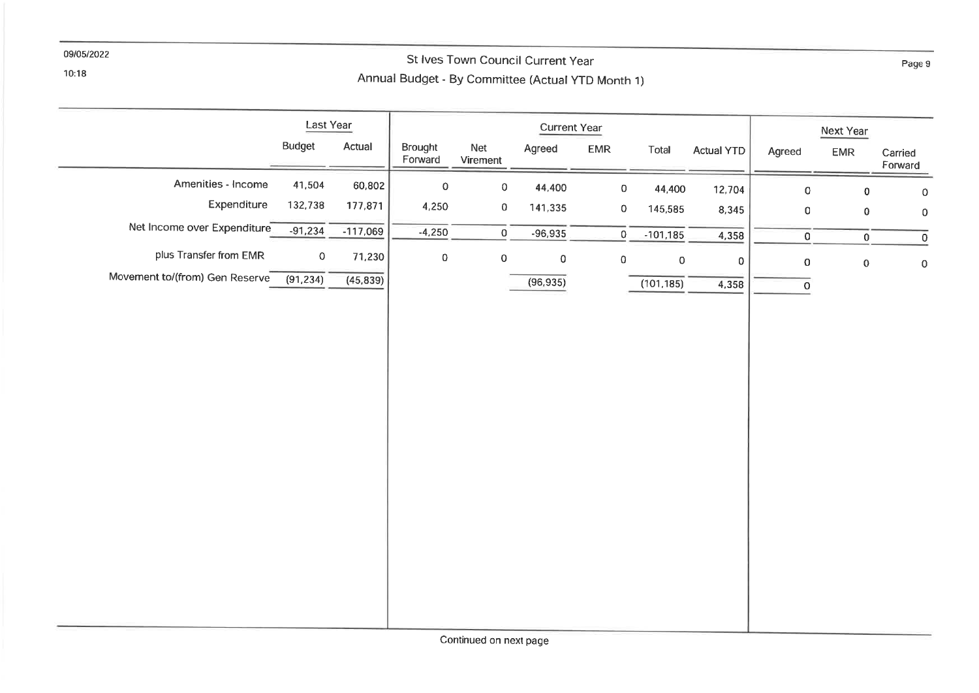$10:18$ 

# St Ives Town Council Current Year Annual Budget - By Committee (Actual YTD Month 1)

|                                | Last Year     |            |                     | <b>Current Year</b> |           |                     |                     |                   | Next Year   |                     |                     |
|--------------------------------|---------------|------------|---------------------|---------------------|-----------|---------------------|---------------------|-------------------|-------------|---------------------|---------------------|
|                                | <b>Budget</b> | Actual     | Brought<br>Forward  | Net<br>Virement     | Agreed    | ${\sf EMR}$         | Total               | <b>Actual YTD</b> | Agreed      | ${\sf EMR}$         | Carried<br>Forward  |
| Amenities - Income             | 41,504        | 60,802     | $\mathsf{O}\xspace$ | $\pmb{0}$           | 44,400    | $\mathsf{O}\xspace$ | 44,400              | 12,704            | $\mathsf O$ | $\pmb{0}$           | $\mathbf 0$         |
| Expenditure                    | 132,738       | 177,871    | 4,250               | $\,0\,$             | 141,335   | $\mathbf 0$         | 145,585             | 8,345             | $\mathbf 0$ | $\pmb{0}$           | $\mathbf 0$         |
| Net Income over Expenditure    | $-91,234$     | $-117,069$ | $-4,250$            | $\overline{0}$      | $-96,935$ | $\overline{0}$      | $-101,185$          | 4,358             | $\mathbf 0$ | $\mathbf 0$         | $\circ$             |
| plus Transfer from EMR         | $\mathbf 0$   | 71,230     | $\pmb{0}$           | $\mathsf{O}\xspace$ | $\pmb{0}$ | $\pmb{0}$           | $\mathsf{O}\xspace$ | $\mathsf D$       | $\pmb{0}$   | $\mathsf{O}\xspace$ | $\mathsf{O}\xspace$ |
| Movement to/(from) Gen Reserve | (91, 234)     | (45, 839)  |                     |                     | (96, 935) |                     | (101.185)           | 4,358             | $\mathsf O$ |                     |                     |
|                                |               |            |                     |                     |           |                     |                     |                   |             |                     |                     |
|                                |               |            |                     |                     |           |                     |                     |                   |             |                     |                     |
|                                |               |            |                     |                     |           |                     |                     |                   |             |                     |                     |
|                                |               |            |                     |                     |           |                     |                     |                   |             |                     |                     |
|                                |               |            |                     |                     |           |                     |                     |                   |             |                     |                     |
|                                |               |            |                     |                     |           |                     |                     |                   |             |                     |                     |
|                                |               |            |                     |                     |           |                     |                     |                   |             |                     |                     |
|                                |               |            |                     |                     |           |                     |                     |                   |             |                     |                     |
|                                |               |            |                     |                     |           |                     |                     |                   |             |                     |                     |
|                                |               |            |                     |                     |           |                     |                     |                   |             |                     |                     |
|                                |               |            |                     |                     |           |                     |                     |                   |             |                     |                     |
|                                |               |            |                     |                     |           |                     |                     |                   |             |                     |                     |
|                                |               |            |                     |                     |           |                     |                     |                   |             |                     |                     |
|                                |               |            |                     |                     |           |                     |                     |                   |             |                     |                     |

Page 9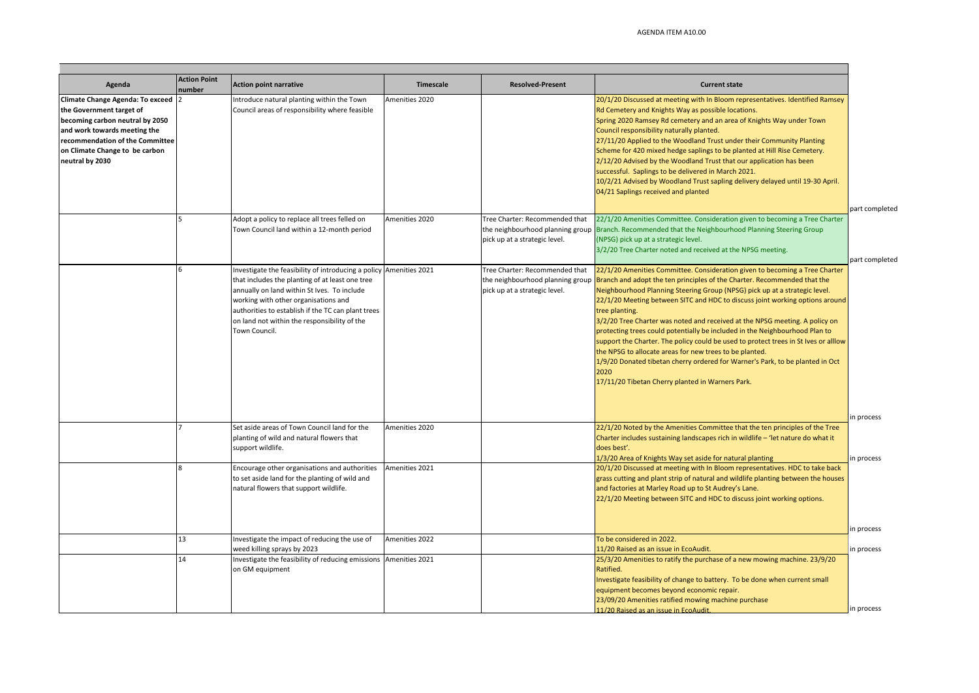| Agenda                                                                                                                                                                                                                    | <b>Action Point</b><br>number | <b>Action point narrative</b>                                                                                                                                                                                                                                                                                                       | Timescale      | <b>Resolved-Present</b>                                                                             | <b>Current state</b>                                                                                                                                                                                                                                                                                                                                                                                                                                                                                                                                                                                                                                                                                                                                                                                 |
|---------------------------------------------------------------------------------------------------------------------------------------------------------------------------------------------------------------------------|-------------------------------|-------------------------------------------------------------------------------------------------------------------------------------------------------------------------------------------------------------------------------------------------------------------------------------------------------------------------------------|----------------|-----------------------------------------------------------------------------------------------------|------------------------------------------------------------------------------------------------------------------------------------------------------------------------------------------------------------------------------------------------------------------------------------------------------------------------------------------------------------------------------------------------------------------------------------------------------------------------------------------------------------------------------------------------------------------------------------------------------------------------------------------------------------------------------------------------------------------------------------------------------------------------------------------------------|
| Climate Change Agenda: To exceed 2<br>the Government target of<br>becoming carbon neutral by 2050<br>and work towards meeting the<br>recommendation of the Committee<br>on Climate Change to be carbon<br>neutral by 2030 |                               | ntroduce natural planting within the Town<br>Council areas of responsibility where feasible                                                                                                                                                                                                                                         | Amenities 2020 |                                                                                                     | 20/1/20 Discussed at meeting with In Bloom representatives. Identified Ramsey<br>Rd Cemetery and Knights Way as possible locations.<br>Spring 2020 Ramsey Rd cemetery and an area of Knights Way under Town<br>Council responsibility naturally planted.<br>27/11/20 Applied to the Woodland Trust under their Community Planting<br>Scheme for 420 mixed hedge saplings to be planted at Hill Rise Cemetery.<br>2/12/20 Advised by the Woodland Trust that our application has been<br>successful. Saplings to be delivered in March 2021.<br>10/2/21 Advised by Woodland Trust sapling delivery delayed until 19-30 April.<br>04/21 Saplings received and planted                                                                                                                                  |
|                                                                                                                                                                                                                           |                               | Adopt a policy to replace all trees felled on<br>Town Council land within a 12-month period                                                                                                                                                                                                                                         | Amenities 2020 | Tree Charter: Recommended that<br>pick up at a strategic level.                                     | 22/1/20 Amenities Committee. Consideration given to becoming a Tree Charter<br>the neighbourhood planning group Branch. Recommended that the Neighbourhood Planning Steering Group<br>(NPSG) pick up at a strategic level.<br>3/2/20 Tree Charter noted and received at the NPSG meeting.                                                                                                                                                                                                                                                                                                                                                                                                                                                                                                            |
|                                                                                                                                                                                                                           |                               | Investigate the feasibility of introducing a policy Amenities 2021<br>that includes the planting of at least one tree<br>annually on land within St Ives. To include<br>working with other organisations and<br>authorities to establish if the TC can plant trees<br>on land not within the responsibility of the<br>Town Council. |                | Tree Charter: Recommended that<br>the neighbourhood planning group<br>pick up at a strategic level. | 22/1/20 Amenities Committee. Consideration given to becoming a Tree Charter<br>Branch and adopt the ten principles of the Charter. Recommended that the<br>Neighbourhood Planning Steering Group (NPSG) pick up at a strategic level.<br>22/1/20 Meeting between SITC and HDC to discuss joint working options around<br>tree planting.<br>3/2/20 Tree Charter was noted and received at the NPSG meeting. A policy on<br>protecting trees could potentially be included in the Neighbourhood Plan to<br>support the Charter. The policy could be used to protect trees in St Ives or alllow<br>the NPSG to allocate areas for new trees to be planted.<br>1/9/20 Donated tibetan cherry ordered for Warner's Park, to be planted in Oct<br>2020<br>17/11/20 Tibetan Cherry planted in Warners Park. |
|                                                                                                                                                                                                                           |                               | Set aside areas of Town Council land for the<br>planting of wild and natural flowers that<br>support wildlife.                                                                                                                                                                                                                      | Amenities 2020 |                                                                                                     | 22/1/20 Noted by the Amenities Committee that the ten principles of the Tree<br>Charter includes sustaining landscapes rich in wildlife - 'let nature do what it<br>does best'.<br>1/3/20 Area of Knights Way set aside for natural planting                                                                                                                                                                                                                                                                                                                                                                                                                                                                                                                                                         |
|                                                                                                                                                                                                                           |                               | Encourage other organisations and authorities<br>to set aside land for the planting of wild and<br>natural flowers that support wildlife.                                                                                                                                                                                           | Amenities 2021 |                                                                                                     | 20/1/20 Discussed at meeting with In Bloom representatives. HDC to take back<br>grass cutting and plant strip of natural and wildlife planting between the houses<br>and factories at Marley Road up to St Audrey's Lane.<br>22/1/20 Meeting between SITC and HDC to discuss joint working options.                                                                                                                                                                                                                                                                                                                                                                                                                                                                                                  |
|                                                                                                                                                                                                                           | 13                            | Investigate the impact of reducing the use of<br>weed killing sprays by 2023                                                                                                                                                                                                                                                        | Amenities 2022 |                                                                                                     | To be considered in 2022.<br>11/20 Raised as an issue in EcoAudit.                                                                                                                                                                                                                                                                                                                                                                                                                                                                                                                                                                                                                                                                                                                                   |
|                                                                                                                                                                                                                           | 14                            | Investigate the feasibility of reducing emissions<br>on GM equipment                                                                                                                                                                                                                                                                | Amenities 2021 |                                                                                                     | 25/3/20 Amenities to ratify the purchase of a new mowing machine. 23/9/20<br>Ratified.<br>Investigate feasibility of change to battery. To be done when current small<br>equipment becomes beyond economic repair.<br>23/09/20 Amenities ratified mowing machine purchase<br>11/20 Raised as an issue in EcoAudit.                                                                                                                                                                                                                                                                                                                                                                                                                                                                                   |